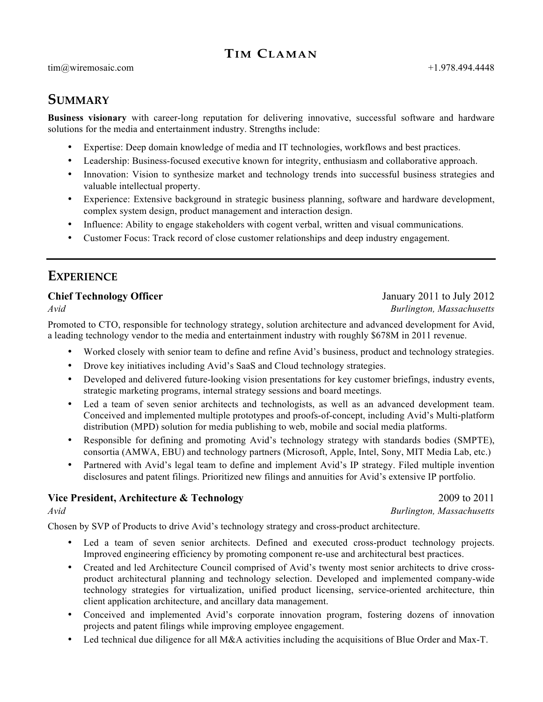# **TIM CLAMAN**

# **SUMMARY**

**Business visionary** with career-long reputation for delivering innovative, successful software and hardware solutions for the media and entertainment industry. Strengths include:

- Expertise: Deep domain knowledge of media and IT technologies, workflows and best practices.
- Leadership: Business-focused executive known for integrity, enthusiasm and collaborative approach.
- Innovation: Vision to synthesize market and technology trends into successful business strategies and valuable intellectual property.
- Experience: Extensive background in strategic business planning, software and hardware development, complex system design, product management and interaction design.
- Influence: Ability to engage stakeholders with cogent verbal, written and visual communications.
- Customer Focus: Track record of close customer relationships and deep industry engagement.

# **EXPERIENCE**

#### **Chief Technology Officer** January 2011 to July 2012

Promoted to CTO, responsible for technology strategy, solution architecture and advanced development for Avid, a leading technology vendor to the media and entertainment industry with roughly \$678M in 2011 revenue.

- Worked closely with senior team to define and refine Avid's business, product and technology strategies.
- Drove key initiatives including Avid's SaaS and Cloud technology strategies.
- Developed and delivered future-looking vision presentations for key customer briefings, industry events, strategic marketing programs, internal strategy sessions and board meetings.
- Led a team of seven senior architects and technologists, as well as an advanced development team. Conceived and implemented multiple prototypes and proofs-of-concept, including Avid's Multi-platform distribution (MPD) solution for media publishing to web, mobile and social media platforms.
- Responsible for defining and promoting Avid's technology strategy with standards bodies (SMPTE), consortia (AMWA, EBU) and technology partners (Microsoft, Apple, Intel, Sony, MIT Media Lab, etc.)
- Partnered with Avid's legal team to define and implement Avid's IP strategy. Filed multiple invention disclosures and patent filings. Prioritized new filings and annuities for Avid's extensive IP portfolio.

#### **Vice President, Architecture & Technology 2009 to 2011**

*Avid Burlington, Massachusetts*

Chosen by SVP of Products to drive Avid's technology strategy and cross-product architecture.

- Led a team of seven senior architects. Defined and executed cross-product technology projects. Improved engineering efficiency by promoting component re-use and architectural best practices.
- Created and led Architecture Council comprised of Avid's twenty most senior architects to drive crossproduct architectural planning and technology selection. Developed and implemented company-wide technology strategies for virtualization, unified product licensing, service-oriented architecture, thin client application architecture, and ancillary data management.
- Conceived and implemented Avid's corporate innovation program, fostering dozens of innovation projects and patent filings while improving employee engagement.
- Led technical due diligence for all M&A activities including the acquisitions of Blue Order and Max-T.

# *Avid Burlington, Massachusetts*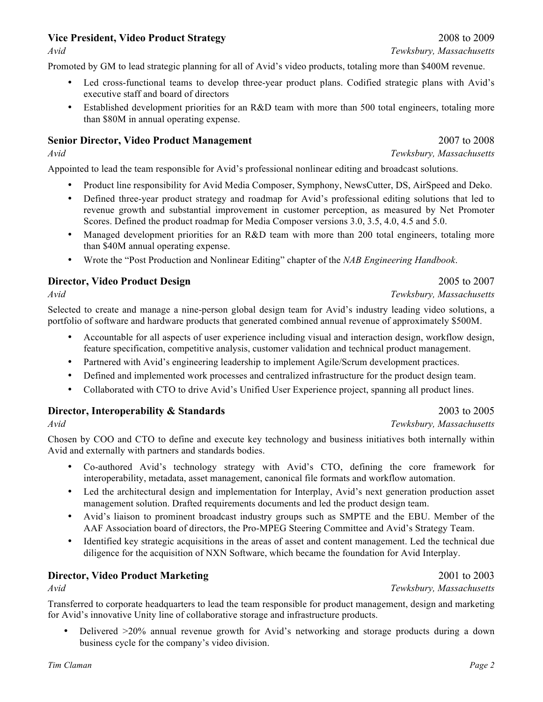# **Vice President, Video Product Strategy** 2008 to 2009

Promoted by GM to lead strategic planning for all of Avid's video products, totaling more than \$400M revenue.

- Led cross-functional teams to develop three-year product plans. Codified strategic plans with Avid's executive staff and board of directors
- Established development priorities for an R&D team with more than 500 total engineers, totaling more than \$80M in annual operating expense.

#### **Senior Director, Video Product Management** 2007 to 2008

*Avid Tewksbury, Massachusetts*

Appointed to lead the team responsible for Avid's professional nonlinear editing and broadcast solutions.

- Product line responsibility for Avid Media Composer, Symphony, NewsCutter, DS, AirSpeed and Deko.
- Defined three-year product strategy and roadmap for Avid's professional editing solutions that led to revenue growth and substantial improvement in customer perception, as measured by Net Promoter Scores. Defined the product roadmap for Media Composer versions 3.0, 3.5, 4.0, 4.5 and 5.0.
- Managed development priorities for an R&D team with more than 200 total engineers, totaling more than \$40M annual operating expense.
- Wrote the "Post Production and Nonlinear Editing" chapter of the *NAB Engineering Handbook*.

#### **Director, Video Product Design** 2005 to 2007

Selected to create and manage a nine-person global design team for Avid's industry leading video solutions, a portfolio of software and hardware products that generated combined annual revenue of approximately \$500M.

- Accountable for all aspects of user experience including visual and interaction design, workflow design, feature specification, competitive analysis, customer validation and technical product management.
- Partnered with Avid's engineering leadership to implement Agile/Scrum development practices.
- Defined and implemented work processes and centralized infrastructure for the product design team.
- Collaborated with CTO to drive Avid's Unified User Experience project, spanning all product lines.

#### **Director, Interoperability & Standards** 2003 to 2005

Chosen by COO and CTO to define and execute key technology and business initiatives both internally within Avid and externally with partners and standards bodies.

- Co-authored Avid's technology strategy with Avid's CTO, defining the core framework for interoperability, metadata, asset management, canonical file formats and workflow automation.
- Led the architectural design and implementation for Interplay, Avid's next generation production asset management solution. Drafted requirements documents and led the product design team.
- Avid's liaison to prominent broadcast industry groups such as SMPTE and the EBU. Member of the AAF Association board of directors, the Pro-MPEG Steering Committee and Avid's Strategy Team.
- Identified key strategic acquisitions in the areas of asset and content management. Led the technical due diligence for the acquisition of NXN Software, which became the foundation for Avid Interplay.

# **Director, Video Product Marketing** 2001 to 2003

*Avid Tewksbury, Massachusetts*

Transferred to corporate headquarters to lead the team responsible for product management, design and marketing for Avid's innovative Unity line of collaborative storage and infrastructure products.

• Delivered >20% annual revenue growth for Avid's networking and storage products during a down business cycle for the company's video division.

*Avid Tewksbury, Massachusetts*

*Avid Tewksbury, Massachusetts*

*Avid Tewksbury, Massachusetts*